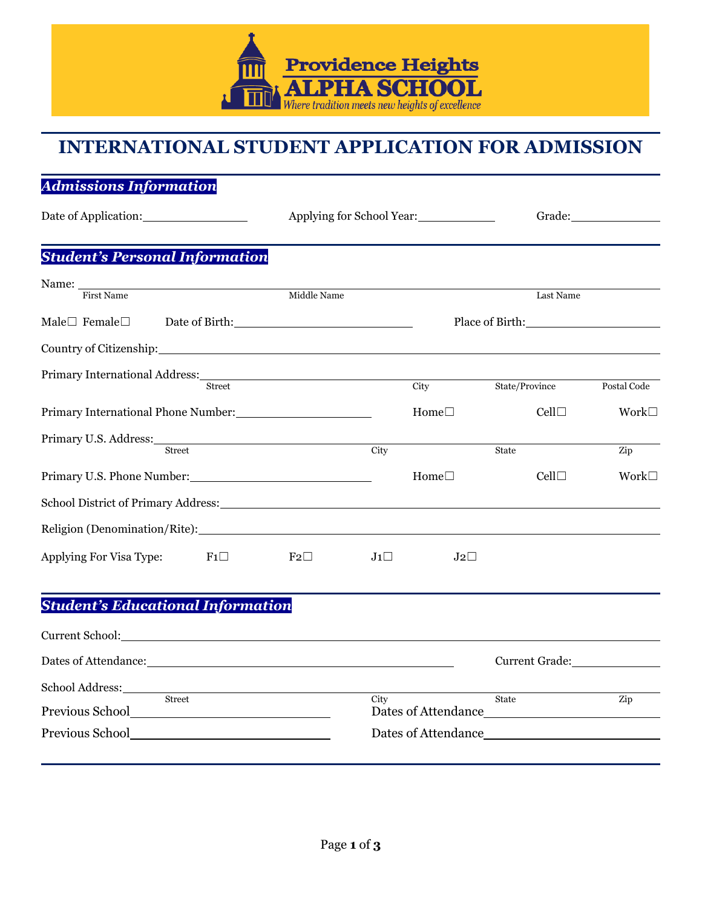

# **INTERNATIONAL STUDENT APPLICATION FOR ADMISSION**

## *Admissions Information*

Date of Application: Applying for School Year: Grade: Grade: Grade: Grade: Grade: Grade: Grade: Grade: Grade: G

### *Student's Personal Information*

| <b>First Name</b>                                                                                                                                                                                                              |                                                                                                               | Middle Name |            |                                                                                                                                                                                                                                | Last Name      |                |
|--------------------------------------------------------------------------------------------------------------------------------------------------------------------------------------------------------------------------------|---------------------------------------------------------------------------------------------------------------|-------------|------------|--------------------------------------------------------------------------------------------------------------------------------------------------------------------------------------------------------------------------------|----------------|----------------|
| Male $\Box$ Female $\Box$                                                                                                                                                                                                      | Date of Birth: 2000 and 2000 and 2000 and 2000 and 2000 and 2000 and 2000 and 2000 and 2000 and 2000 and 2000 |             |            | Place of Birth: No. 1996. The Second Second Second Second Second Second Second Second Second Second Second Second Second Second Second Second Second Second Second Second Second Second Second Second Second Second Second Sec |                |                |
| Country of Citizenship: 2000 and 2000 and 2000 and 2000 and 2000 and 2000 and 2000 and 2000 and 200                                                                                                                            |                                                                                                               |             |            |                                                                                                                                                                                                                                |                |                |
|                                                                                                                                                                                                                                |                                                                                                               |             |            |                                                                                                                                                                                                                                |                |                |
|                                                                                                                                                                                                                                | <b>Street</b>                                                                                                 |             |            | City                                                                                                                                                                                                                           | State/Province | Postal Code    |
|                                                                                                                                                                                                                                |                                                                                                               |             |            | Home $\square$                                                                                                                                                                                                                 | Cell           | Work $\square$ |
| Primary U.S. Address: 2008. [19] Drimary U.S. Address:                                                                                                                                                                         | <b>Street</b>                                                                                                 |             | City       |                                                                                                                                                                                                                                | State          | Zip            |
|                                                                                                                                                                                                                                |                                                                                                               |             |            |                                                                                                                                                                                                                                |                |                |
| Primary U.S. Phone Number:                                                                                                                                                                                                     |                                                                                                               |             |            | Home $\square$                                                                                                                                                                                                                 | $Cell\square$  | Work           |
|                                                                                                                                                                                                                                |                                                                                                               |             |            |                                                                                                                                                                                                                                |                |                |
| Religion (Denomination/Rite): New York Channels and Security and Security and Security and Security and Security and Security and Security and Security and Security and Security and Security and Security and Security and S |                                                                                                               |             |            |                                                                                                                                                                                                                                |                |                |
| Applying For Visa Type:                                                                                                                                                                                                        | F1                                                                                                            | $F_2$       | $J_1 \Box$ | $J2\square$                                                                                                                                                                                                                    |                |                |
|                                                                                                                                                                                                                                |                                                                                                               |             |            |                                                                                                                                                                                                                                |                |                |
| <b>Student's Educational Information</b>                                                                                                                                                                                       |                                                                                                               |             |            |                                                                                                                                                                                                                                |                |                |
|                                                                                                                                                                                                                                |                                                                                                               |             |            |                                                                                                                                                                                                                                |                |                |

| Current School: New York Current School: |                     |                     |     |  |
|------------------------------------------|---------------------|---------------------|-----|--|
|                                          |                     | Current Grade:      |     |  |
| <b>Street</b>                            | City                | <b>State</b>        | Zip |  |
|                                          |                     | Dates of Attendance |     |  |
|                                          | Dates of Attendance |                     |     |  |
|                                          |                     |                     |     |  |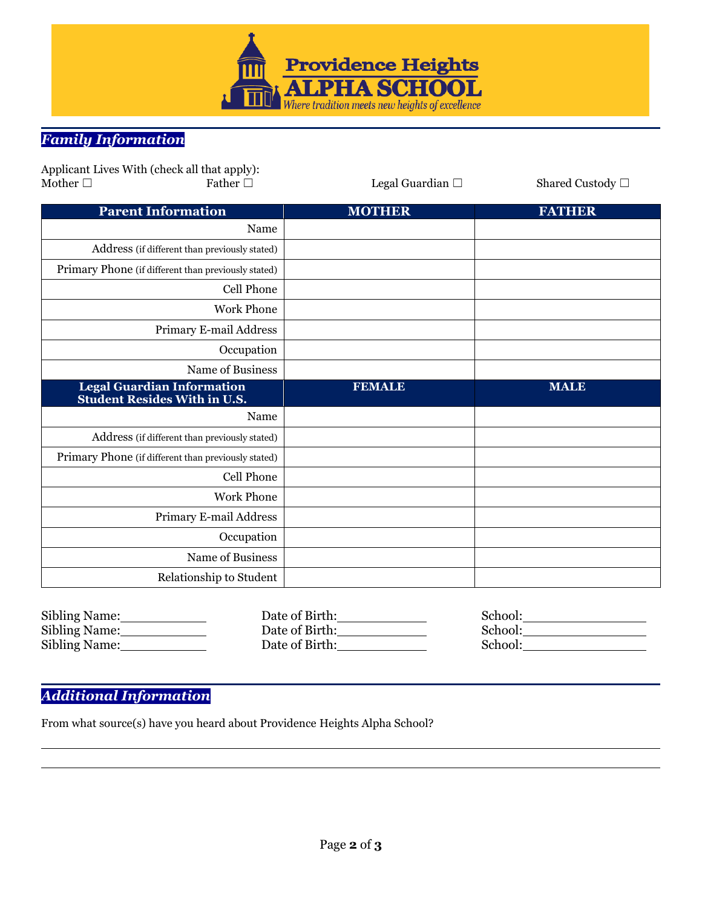

## *Family Information*

|               | Applicant Lives With (check all that apply):                             |                          |                       |
|---------------|--------------------------------------------------------------------------|--------------------------|-----------------------|
| Mother $\Box$ | Father $\Box$                                                            | Legal Guardian $\square$ | Shared Custody $\Box$ |
|               | <b>Parent Information</b>                                                | <b>MOTHER</b>            | <b>FATHER</b>         |
|               | Name                                                                     |                          |                       |
|               | Address (if different than previously stated)                            |                          |                       |
|               | Primary Phone (if different than previously stated)                      |                          |                       |
|               | Cell Phone                                                               |                          |                       |
|               | <b>Work Phone</b>                                                        |                          |                       |
|               | Primary E-mail Address                                                   |                          |                       |
|               | Occupation                                                               |                          |                       |
|               | Name of Business                                                         |                          |                       |
|               | <b>Legal Guardian Information</b><br><b>Student Resides With in U.S.</b> | <b>FEMALE</b>            | <b>MALE</b>           |
|               | Name                                                                     |                          |                       |
|               | Address (if different than previously stated)                            |                          |                       |
|               | Primary Phone (if different than previously stated)                      |                          |                       |
|               | Cell Phone                                                               |                          |                       |
|               |                                                                          |                          |                       |
|               | <b>Work Phone</b>                                                        |                          |                       |
|               | Primary E-mail Address                                                   |                          |                       |
|               | Occupation                                                               |                          |                       |
|               | Name of Business                                                         |                          |                       |

| Sibling Name: | Date of Birth: | School: |
|---------------|----------------|---------|
| Sibling Name: | Date of Birth: | School: |
| Sibling Name: | Date of Birth: | School: |

### *Additional Information*

From what source(s) have you heard about Providence Heights Alpha School?